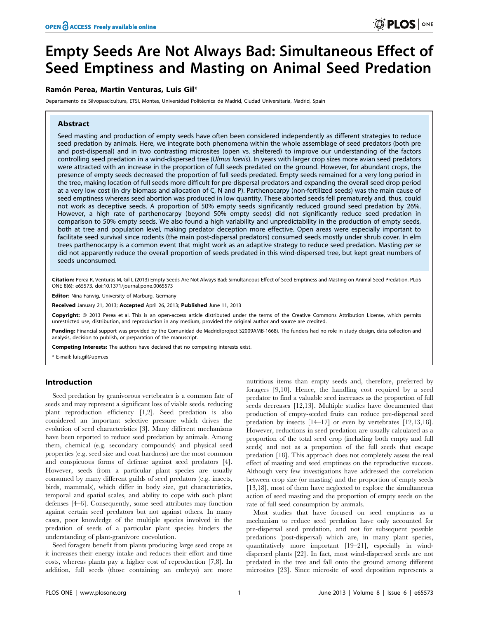# Empty Seeds Are Not Always Bad: Simultaneous Effect of Seed Emptiness and Masting on Animal Seed Predation

# Ramón Perea, Martin Venturas, Luis Gil\*

Departamento de Silvopascicultura, ETSI, Montes, Universidad Politécnica de Madrid, Ciudad Universitaria, Madrid, Spain

# Abstract

Seed masting and production of empty seeds have often been considered independently as different strategies to reduce seed predation by animals. Here, we integrate both phenomena within the whole assemblage of seed predators (both pre and post-dispersal) and in two contrasting microsites (open vs. sheltered) to improve our understanding of the factors controlling seed predation in a wind-dispersed tree (Ulmus laevis). In years with larger crop sizes more avian seed predators were attracted with an increase in the proportion of full seeds predated on the ground. However, for abundant crops, the presence of empty seeds decreased the proportion of full seeds predated. Empty seeds remained for a very long period in the tree, making location of full seeds more difficult for pre-dispersal predators and expanding the overall seed drop period at a very low cost (in dry biomass and allocation of C, N and P). Parthenocarpy (non-fertilized seeds) was the main cause of seed emptiness whereas seed abortion was produced in low quantity. These aborted seeds fell prematurely and, thus, could not work as deceptive seeds. A proportion of 50% empty seeds significantly reduced ground seed predation by 26%. However, a high rate of parthenocarpy (beyond 50% empty seeds) did not significantly reduce seed predation in comparison to 50% empty seeds. We also found a high variability and unpredictability in the production of empty seeds, both at tree and population level, making predator deception more effective. Open areas were especially important to facilitate seed survival since rodents (the main post-dispersal predators) consumed seeds mostly under shrub cover. In elm trees parthenocarpy is a common event that might work as an adaptive strategy to reduce seed predation. Masting per se did not apparently reduce the overall proportion of seeds predated in this wind-dispersed tree, but kept great numbers of seeds unconsumed.

Citation: Perea R, Venturas M, Gil L (2013) Empty Seeds Are Not Always Bad: Simultaneous Effect of Seed Emptiness and Masting on Animal Seed Predation. PLoS ONE 8(6): e65573. doi:10.1371/journal.pone.0065573

Editor: Nina Farwig, University of Marburg, Germany

Received January 21, 2013; Accepted April 26, 2013; Published June 11, 2013

Copyright: © 2013 Perea et al. This is an open-access article distributed under the terms of the Creative Commons Attribution License, which permits unrestricted use, distribution, and reproduction in any medium, provided the original author and source are credited.

Funding: Financial support was provided by the Comunidad de Madrid(project S2009AMB-1668). The funders had no role in study design, data collection and analysis, decision to publish, or preparation of the manuscript.

Competing Interests: The authors have declared that no competing interests exist.

\* E-mail: luis.gil@upm.es

# Introduction

Seed predation by granivorous vertebrates is a common fate of seeds and may represent a significant loss of viable seeds, reducing plant reproduction efficiency [1,2]. Seed predation is also considered an important selective pressure which drives the evolution of seed characteristics [3]. Many different mechanisms have been reported to reduce seed predation by animals. Among them, chemical (e.g. secondary compounds) and physical seed properties (e.g. seed size and coat hardness) are the most common and conspicuous forms of defense against seed predators [4]. However, seeds from a particular plant species are usually consumed by many different guilds of seed predators (e.g. insects, birds, mammals), which differ in body size, gut characteristics, temporal and spatial scales, and ability to cope with such plant defenses [4–6]. Consequently, some seed attributes may function against certain seed predators but not against others. In many cases, poor knowledge of the multiple species involved in the predation of seeds of a particular plant species hinders the understanding of plant-granivore coevolution.

Seed foragers benefit from plants producing large seed crops as it increases their energy intake and reduces their effort and time costs, whereas plants pay a higher cost of reproduction [7,8]. In addition, full seeds (those containing an embryo) are more nutritious items than empty seeds and, therefore, preferred by foragers [9,10]. Hence, the handling cost required by a seed predator to find a valuable seed increases as the proportion of full seeds decreases [12,13]. Multiple studies have documented that production of empty-seeded fruits can reduce pre-dispersal seed predation by insects [14–17] or even by vertebrates [12,13,18]. However, reductions in seed predation are usually calculated as a proportion of the total seed crop (including both empty and full seeds) and not as a proportion of the full seeds that escape predation [18]. This approach does not completely assess the real effect of masting and seed emptiness on the reproductive success. Although very few investigations have addressed the correlation between crop size (or masting) and the proportion of empty seeds [13,18], most of them have neglected to explore the simultaneous action of seed masting and the proportion of empty seeds on the rate of full seed consumption by animals.

Most studies that have focused on seed emptiness as a mechanism to reduce seed predation have only accounted for pre-dispersal seed predation, and not for subsequent possible predations (post-dispersal) which are, in many plant species, quantitatively more important [19–21], especially in winddispersed plants [22]. In fact, most wind-dispersed seeds are not predated in the tree and fall onto the ground among different microsites [23]. Since microsite of seed deposition represents a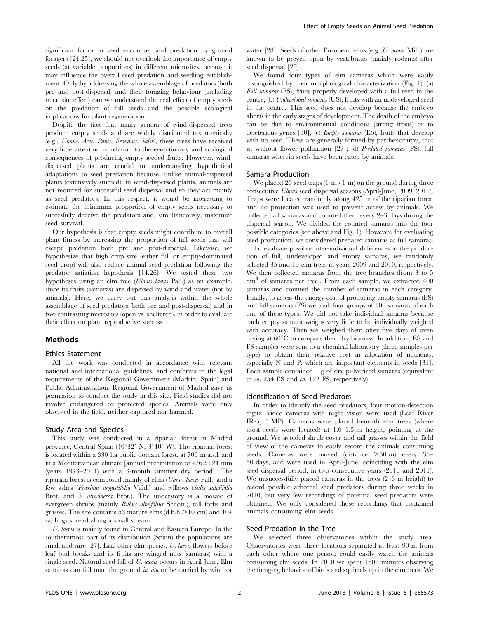significant factor in seed encounter and predation by ground foragers [24,25], we should not overlook the importance of empty seeds (at variable proportions) in different microsites, because it may influence the overall seed predation and seedling establishment. Only by addressing the whole assemblage of predators (both pre and post-dispersal) and their foraging behaviour (including microsite effect) can we understand the real effect of empty seeds on the predation of full seeds and the possible ecological implications for plant regeneration.

Despite the fact that many genera of wind-dispersed trees produce empty seeds and are widely distributed taxonomically (e.g., Ulmus, Acer, Pinus, Fraxinus, Salix), these trees have received very little attention in relation to the evolutionary and ecological consequences of producing empty-seeded fruits. However, winddispersed plants are crucial to understanding hypothetical adaptations to seed predation because, unlike animal-dispersed plants (extensively studied), in wind-dispersed plants, animals are not required for successful seed dispersal and so they act mainly as seed predators. In this respect, it would be interesting to estimate the minimum proportion of empty seeds necessary to succesfully deceive the predators and, simultaneously, maximize seed survival.

Our hypothesis is that empty seeds might contribute to overall plant fitness by increasing the proportion of full seeds that will escape predation both pre and post-dispersal. Likewise, we hypothesize that high crop size (either full or empty-dominated seed crop) will also reduce animal seed predation following the predator satiation hypothesis [14,26]. We tested these two hypotheses using an elm tree (Ulmus laevis Pall.) as an example, since its fruits (samaras) are dispersed by wind and water (not by animals). Here, we carry out this analysis within the whole assemblage of seed predators (both pre and post-dispersal) and in two contrasting microsites (open vs. sheltered), in order to evaluate their effect on plant reproductive success.

# Methods

#### Ethics Statement

All the work was conducted in accordance with relevant national and international guidelines, and conforms to the legal requirements of the Regional Government (Madrid, Spain) and Public Administration. Regional Government of Madrid gave us permission to conduct the study in this site. Field studies did not involve endangered or protected species. Animals were only observed in the field, neither captured nor harmed.

## Study Area and Species

This study was conducted in a riparian forest in Madrid province, Central Spain (40°32′ N, 3°40′ W). The riparian forest is located within a 330 ha public domain forest, at 700 m a.s.l. and in a Mediterranean climate [annual precipitation of  $426 \pm 124$  mm (years 1973–2011) with a 3-month summer dry period]. The riparian forest is composed mainly of elms (Ulmus laevis Pall.) and a few ashes (Fraxinus angustifolia Vahl.) and willows (Salix salviifolia Brot. and S. atrocinerea Brot.). The understory is a mosaic of evergreen shrubs (mainly Rubus ulmifolius Schott.), tall forbs and grasses. The site contains 53 mature elms  $(d.b.h.>10$  cm) and 104 saplings spread along a small stream.

U. laevis is mainly found in Central and Eastern Europe. In the southernmost part of its distribution (Spain) the populations are small and rare [27]. Like other elm species, U. laevis flowers before leaf bud breaks and its fruits are winged nuts (samaras) with a single seed. Natural seed fall of U. laevis occurs in April-June. Elm samaras can fall onto the ground *in situ* or be carried by wind or

water [28]. Seeds of other European elms (e.g. U. minor Mill.) are known to be preyed upon by vertebrates (mainly rodents) after seed dispersal [29].

We found four types of elm samaras which were easily distinguished by their morphological characterization (Fig. 1): (a) Full samaras (FS), fruits properly developed with a full seed in the centre; (b) Undeveloped samaras (US), fruits with an undeveloped seed in the centre. This seed does not develop because the embryo aborts in the early stages of development. The death of the embryo can be due to environmental conditions (strong frosts) or to deleterious genes [30]; (c) Empty samaras (ES), fruits that develop with no seed. These are generally formed by parthenocarpy, that is, without flower pollination [27]; (d) Predated samaras (PS), full samaras wherein seeds have been eaten by animals.

## Samara Production

We placed 20 seed traps  $(1 \text{ m} \times 1 \text{ m})$  on the ground during three consecutive Ulmus seed dispersal seasons (April-June, 2009–2011). Traps were located randomly along 425 m of the riparian forest and no protection was used to prevent access by animals. We collected all samaras and counted them every 2–3 days during the dispersal season. We divided the counted samaras into the four possible categories (see above and Fig. 1). However, for evaluating seed production, we considered predated samaras as full samaras.

To evaluate possible inter-individual differences in the production of full, undeveloped and empty samaras, we randomly selected 35 and 19 elm trees in years 2009 and 2010, respectively. We then collected samaras from the tree branches (from 3 to 5 dm<sup>3</sup> of samaras per tree). From each sample, we extracted 400 samaras and counted the number of samaras in each category. Finally, to assess the energy cost of producing empty samaras (ES) and full samaras (FS) we took four groups of 100 samaras of each one of these types. We did not take individual samaras because each empty samara weighs very little to be individually weighed with accuracy. Then we weighed them after five days of oven drying at  $60^{\circ}$ C to compare their dry biomass. In addition, ES and FS samples were sent to a chemical laboratory (three samples per type) to obtain their relative cost in allocation of nutrients, especially N and P, which are important elements in seeds [31]. Each sample contained 1 g of dry pulverized samaras (equivalent to ca. 254 ES and ca. 122 FS, respectively).

## Identification of Seed Predators

In order to identify the seed predators, four motion-detection digital video cameras with night vision were used (Leaf River IR-5, 5 MP). Cameras were placed beneath elm trees (where most seeds were located) at 1.0–1.5 m height, pointing at the ground. We avoided shrub cover and tall grasses within the field of view of the cameras to easily record the animals consuming seeds. Cameras were moved (distance  $>50$  m) every 35– 60 days, and were used in April-June, coinciding with the elm seed dispersal period, in two consecutive years (2010 and 2011). We unsuccessfully placed cameras in the trees (2–3 m height) to record possible arboreal seed predators during three weeks in 2010, but very few recordings of potential seed predators were obtained. We only considered those recordings that contained animals consuming elm seeds.

#### Seed Predation in the Tree

We selected three observatories within the study area. Observatories were three locations separated at least 90 m from each other where one person could easily watch the animals consuming elm seeds. In 2010 we spent 1602 minutes observing the foraging behavior of birds and squirrels up in the elm trees. We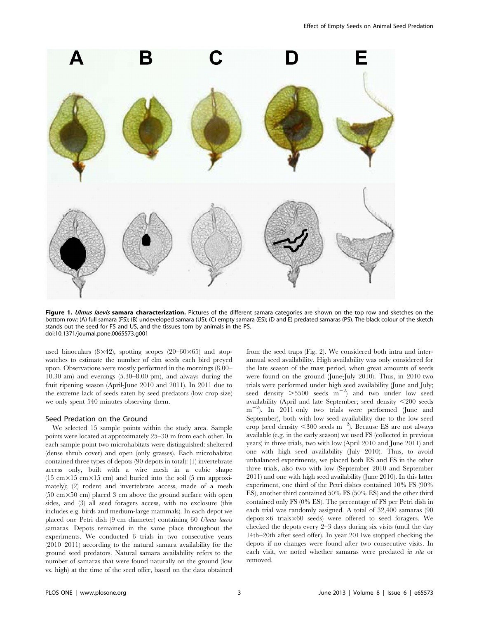

Figure 1. Ulmus laevis samara characterization. Pictures of the different samara categories are shown on the top row and sketches on the bottom row: (A) full samara (FS); (B) undeveloped samara (US); (C) empty samara (ES); (D and E) predated samaras (PS). The black colour of the sketch stands out the seed for FS and US, and the tissues torn by animals in the PS. doi:10.1371/journal.pone.0065573.g001

used binoculars  $(8\times42)$ , spotting scopes  $(20-60\times65)$  and stopwatches to estimate the number of elm seeds each bird preyed upon. Observations were mostly performed in the mornings (8.00– 10.30 am) and evenings (5.30–8.00 pm), and always during the fruit ripening season (April-June 2010 and 2011). In 2011 due to the extreme lack of seeds eaten by seed predators (low crop size) we only spent 540 minutes observing them.

# Seed Predation on the Ground

We selected 15 sample points within the study area. Sample points were located at approximately 25–30 m from each other. In each sample point two microhabitats were distinguished: sheltered (dense shrub cover) and open (only grasses). Each microhabitat contained three types of depots (90 depots in total): (1) invertebrate access only, built with a wire mesh in a cubic shape (15 cm $\times$ 15 cm $\times$ 15 cm) and buried into the soil (5 cm approximately); (2) rodent and invertebrate access, made of a mesh  $(50 \text{ cm} \times 50 \text{ cm})$  placed 3 cm above the ground surface with open sides, and (3) all seed foragers access, with no exclosure (this includes e.g. birds and medium-large mammals). In each depot we placed one Petri dish (9 cm diameter) containing 60 Ulmus laevis samaras. Depots remained in the same place throughout the experiments. We conducted 6 trials in two consecutive years (2010–2011) according to the natural samara availability for the ground seed predators. Natural samara availability refers to the number of samaras that were found naturally on the ground (low vs. high) at the time of the seed offer, based on the data obtained from the seed traps (Fig. 2). We considered both intra and interannual seed availability. High availability was only considered for the late season of the mast period, when great amounts of seeds were found on the ground (June-July 2010). Thus, in 2010 two trials were performed under high seed availability (June and July; seed density  $>5500$  seeds m<sup>-2</sup>) and two under low seed availability (April and late September; seed density <200 seeds  $m^{-2}$ ). In 2011 only two trials were performed (June and September), both with low seed availability due to the low seed crop (seed density  $\leq$  300 seeds m<sup>-2</sup>). Because ES are not always available (e.g. in the early season) we used FS (collected in previous years) in three trials, two with low (April 2010 and June 2011) and one with high seed availability (July 2010). Thus, to avoid unbalanced experiments, we placed both ES and FS in the other three trials, also two with low (September 2010 and September 2011) and one with high seed availability (June 2010). In this latter experiment, one third of the Petri dishes contained 10% FS (90% ES), another third contained 50% FS (50% ES) and the other third contained only FS (0% ES). The percentage of FS per Petri dish in each trial was randomly assigned. A total of 32,400 samaras (90  $depots \times6$  trials $\times60$  seeds) were offered to seed foragers. We checked the depots every 2–3 days during six visits (until the day 14th–20th after seed offer). In year 2011we stopped checking the depots if no changes were found after two consecutive visits. In each visit, we noted whether samaras were predated in situ or removed.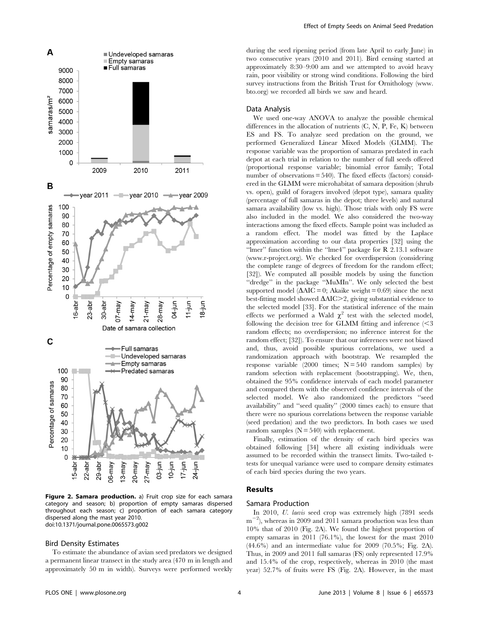

Figure 2. Samara production. a) Fruit crop size for each samara category and season; b) proportion of empty samaras dispersed throughout each season; c) proportion of each samara category dispersed along the mast year 2010. doi:10.1371/journal.pone.0065573.g002

#### Bird Density Estimates

To estimate the abundance of avian seed predators we designed a permanent linear transect in the study area (470 m in length and approximately 50 m in width). Surveys were performed weekly during the seed ripening period (from late April to early June) in two consecutive years (2010 and 2011). Bird censing started at approximately 8:30–9:00 am and we attempted to avoid heavy rain, poor visibility or strong wind conditions. Following the bird survey instructions from the British Trust for Ornithology (www. bto.org) we recorded all birds we saw and heard.

# Data Analysis

We used one-way ANOVA to analyze the possible chemical differences in the allocation of nutrients (C, N, P, Fe, K) between ES and FS. To analyze seed predation on the ground, we performed Generalized Linear Mixed Models (GLMM). The response variable was the proportion of samaras predated in each depot at each trial in relation to the number of full seeds offered (proportional response variable; binomial error family; Total number of observations = 540). The fixed effects (factors) considered in the GLMM were microhabitat of samara deposition (shrub vs. open), guild of foragers involved (depot type), samara quality (percentage of full samaras in the depot; three levels) and natural samara availability (low vs. high). Those trials with only FS were also included in the model. We also considered the two-way interactions among the fixed effects. Sample point was included as a random effect. The model was fitted by the Laplace approximation according to our data properties [32] using the ''lmer'' function within the ''lme4'' package for R 2.13.1 software (www.r-project.org). We checked for overdispersion (considering the complete range of degrees of freedom for the random effect; [32]). We computed all possible models by using the function ''dredge'' in the package ''MuMIn''. We only selected the best supported model ( $\Delta AIC = 0$ ; Akaike weight = 0.69) since the next best-fitting model showed  $\Delta AIC > 2$ , giving substantial evidence to the selected model [33]. For the statistical inference of the main effects we performed a Wald  $\chi^2$  test with the selected model, following the decision tree for GLMM fitting and inference  $\leq$ 3 random effects; no overdispersion; no inference interest for the random effect; [32]). To ensure that our inferences were not biased and, thus, avoid possible spurious correlations, we used a randomization approach with bootstrap. We resampled the response variable (2000 times;  $N = 540$  random samples) by random selection with replacement (bootstrapping). We, then, obtained the 95% confidence intervals of each model parameter and compared them with the observed confidence intervals of the selected model. We also randomized the predictors ''seed availability'' and ''seed quality'' (2000 times each) to ensure that there were no spurious correlations between the response variable (seed predation) and the two predictors. In both cases we used random samples  $(N = 540)$  with replacement.

Finally, estimation of the density of each bird species was obtained following [34] where all existing individuals were assumed to be recorded within the transect limits. Two-tailed ttests for unequal variance were used to compare density estimates of each bird species during the two years.

## Results

## Samara Production

In 2010, U. laevis seed crop was extremely high (7891 seeds  $m^{-2}$ ), whereas in 2009 and 2011 samara production was less than 10% that of 2010 (Fig. 2A). We found the highest proportion of empty samaras in 2011 (76.1%), the lowest for the mast 2010 (44.6%) and an intermediate value for 2009 (70.5%; Fig. 2A). Thus, in 2009 and 2011 full samaras (FS) only represented 17.9% and 15.4% of the crop, respectively, whereas in 2010 (the mast year) 52.7% of fruits were FS (Fig. 2A). However, in the mast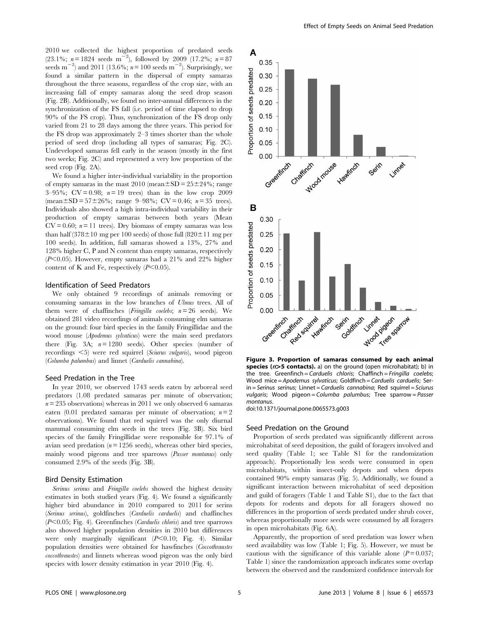2010 we collected the highest proportion of predated seeds  $(23.1\%; n = 1824 \text{ seeds m}^{-2}),$  followed by 2009 (17.2%;  $n = 87$ seeds  $m^{-2}$ ) and 2011 (13.6%;  $n = 100$  seeds  $m^{-2}$ ). Surprisingly, we found a similar pattern in the dispersal of empty samaras throughout the three seasons, regardless of the crop size, with an increasing fall of empty samaras along the seed drop season (Fig. 2B). Additionally, we found no inter-annual differences in the synchronization of the FS fall (i.e. period of time elapsed to drop 90% of the FS crop). Thus, synchronization of the FS drop only varied from 21 to 28 days among the three years. This period for the FS drop was approximately 2–3 times shorter than the whole period of seed drop (including all types of samaras; Fig. 2C). Undeveloped samaras fell early in the season (mostly in the first two weeks; Fig. 2C) and represented a very low proportion of the seed crop (Fig. 2A).

We found a higher inter-individual variability in the proportion of empty samaras in the mast  $2010$  (mean $\pm SD = 25\pm24\%$ ; range 3–95%;  $CV = 0.98$ ;  $n = 19$  trees) than in the low crop 2009 (mean $\pm$ SD = 57 $\pm$ 26%; range 9–98%; CV = 0.46; n = 35 trees). Individuals also showed a high intra-individual variability in their production of empty samaras between both years (Mean  $CV = 0.60$ ;  $n = 11$  trees). Dry biomass of empty samaras was less than half (378 $\pm$ 10 mg per 100 seeds) of those full (820 $\pm$ 11 mg per 100 seeds). In addition, full samaras showed a 13%, 27% and 128% higher C, P and N content than empty samaras, respectively  $(P<0.05)$ . However, empty samaras had a 21% and 22% higher content of K and Fe, respectively  $(P<0.05)$ .

## Identification of Seed Predators

We only obtained 9 recordings of animals removing or consuming samaras in the low branches of Ulmus trees. All of them were of chaffinches (*Fringilla coelebs*;  $n = 26$  seeds). We obtained 281 video recordings of animals consuming elm samaras on the ground: four bird species in the family Fringillidae and the wood mouse (Apodemus sylvaticus) were the main seed predators there (Fig. 3A;  $n = 1280$  seeds). Other species (number of recordings  $\leq 5$ ) were red squirrel (Sciurus vulgaris), wood pigeon (Columba palumbus) and linnet (Carduelis cannabina).

#### Seed Predation in the Tree

In year 2010, we observed 1743 seeds eaten by arboreal seed predators (1.08 predated samaras per minute of observation;  $n = 235$  observations) whereas in 2011 we only observed 6 samaras eaten (0.01 predated samaras per minute of observation;  $n = 2$ observations). We found that red squirrel was the only diurnal mammal consuming elm seeds in the trees (Fig. 3B). Six bird species of the family Fringillidae were responsible for 97.1% of avian seed predation  $(n = 1256 \text{ seeds})$ , whereas other bird species, mainly wood pigeons and tree sparrows (Passer montanus) only consumed 2.9% of the seeds (Fig. 3B).

#### Bird Density Estimation

Serinus serinus and Fringilla coelebs showed the highest density estimates in both studied years (Fig. 4). We found a significantly higher bird abundance in 2010 compared to 2011 for serins (Serinus serinus), goldfinches (Carduelis carduelis) and chaffinches  $(P<0.05;$  Fig. 4). Greenfinches (Carduelis chloris) and tree sparrows also showed higher population densities in 2010 but differences were only marginally significant  $(P<0.10;$  Fig. 4). Similar population densities were obtained for hawfinches (Coccothraustes coccothraustes) and linnets whereas wood pigeon was the only bird species with lower density estimation in year 2010 (Fig. 4).



Figure 3. Proportion of samaras consumed by each animal species ( $n$ >5 contacts). a) on the ground (open microhabitat); b) in the tree. Greenfinch = Carduelis chloris; Chaffinch = Fringilla coelebs; Wood mice = Apodemus sylvaticus; Goldfinch = Carduelis carduelis; Serin = Serinus serinus; Linnet = Carduelis cannabina; Red squirrel = Sciurus vulgaris; Wood pigeon = Columba palumbus; Tree sparrow = Passer montanus.

doi:10.1371/journal.pone.0065573.g003

#### Seed Predation on the Ground

Proportion of seeds predated was significantly different across microhabitat of seed deposition, the guild of foragers involved and seed quality (Table 1; see Table S1 for the randomization approach). Proportionally less seeds were consumed in open microhabitats, within insect-only depots and when depots contained 90% empty samaras (Fig. 5). Additionally, we found a significant interaction between microhabitat of seed deposition and guild of foragers (Table 1 and Table S1), due to the fact that depots for rodents and depots for all foragers showed no differences in the proportion of seeds predated under shrub cover, whereas proportionally more seeds were consumed by all foragers in open microhabitats (Fig. 6A).

Apparently, the proportion of seed predation was lower when seed availability was low (Table 1; Fig. 5). However, we must be cautious with the significance of this variable alone  $(P = 0.037)$ ; Table 1) since the randomization approach indicates some overlap between the observed and the randomized confidence intervals for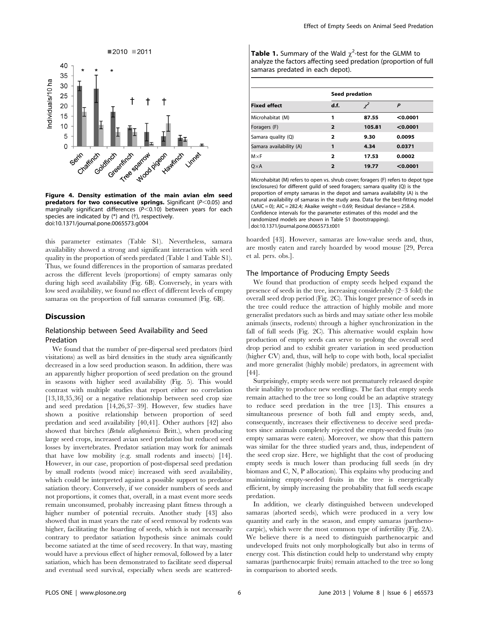



Figure 4. Density estimation of the main avian elm seed predators for two consecutive springs. Significant ( $P<0.05$ ) and marginally significant differences  $(P< 0.10)$  between years for each species are indicated by  $(*)$  and  $(*)$ , respectively. doi:10.1371/journal.pone.0065573.g004

this parameter estimates (Table S1). Nevertheless, samara availability showed a strong and significant interaction with seed quality in the proportion of seeds predated (Table 1 and Table S1). Thus, we found differences in the proportion of samaras predated across the different levels (proportions) of empty samaras only during high seed availability (Fig. 6B). Conversely, in years with low seed availability, we found no effect of different levels of empty samaras on the proportion of full samaras consumed (Fig. 6B).

#### **Discussion**

# Relationship between Seed Availability and Seed Predation

We found that the number of pre-dispersal seed predators (bird visitations) as well as bird densities in the study area significantly decreased in a low seed production season. In addition, there was an apparently higher proportion of seed predation on the ground in seasons with higher seed availability (Fig. 5). This would contrast with multiple studies that report either no correlation [13,18,35,36] or a negative relationship between seed crop size and seed predation [14,26,37–39]. However, few studies have shown a positive relationship between proportion of seed predation and seed availability [40,41]. Other authors [42] also showed that birches (Betula alleghaniensis Britt.), when producing large seed crops, increased avian seed predation but reduced seed losses by invertebrates. Predator satiation may work for animals that have low mobility (e.g. small rodents and insects) [14]. However, in our case, proportion of post-dispersal seed predation by small rodents (wood mice) increased with seed availability, which could be interpreted against a possible support to predator satiation theory. Conversely, if we consider numbers of seeds and not proportions, it comes that, overall, in a mast event more seeds remain unconsumed, probably increasing plant fitness through a higher number of potential recruits. Another study [43] also showed that in mast years the rate of seed removal by rodents was higher, facilitating the hoarding of seeds, which is not necessarily contrary to predator satiation hypothesis since animals could become satiated at the time of seed recovery. In that way, masting would have a previous effect of higher removal, followed by a later satiation, which has been demonstrated to facilitate seed dispersal and eventual seed survival, especially when seeds are scattered-

Table 1. Summary of the Wald  $\chi^2$ -test for the GLMM to analyze the factors affecting seed predation (proportion of full samaras predated in each depot).

| <b>Fixed effect</b>     | Seed predation          |        |          |
|-------------------------|-------------------------|--------|----------|
|                         | d.f.                    |        | P        |
| Microhabitat (M)        | 1                       | 87.55  | < 0.0001 |
| Foragers (F)            | $\overline{\mathbf{2}}$ | 105.81 | < 0.0001 |
| Samara quality (Q)      | 2                       | 9.30   | 0.0095   |
| Samara availability (A) | 1                       | 4.34   | 0.0371   |
| $M \times F$            | 2                       | 17.53  | 0.0002   |
| $O \times A$            | $\overline{2}$          | 19.77  | < 0.0001 |

Microhabitat (M) refers to open vs. shrub cover; foragers (F) refers to depot type (exclosures) for different guild of seed foragers; samara quality (Q) is the proportion of empty samaras in the depot and samara availability (A) is the natural availability of samaras in the study area. Data for the best-fitting model  $(\Delta AIC = 0)$ ; AIC = 282.4; Akaike weight = 0.69; Residual deviance = 258.4. Confidence intervals for the parameter estimates of this model and the randomized models are shown in Table S1 (bootstrapping). doi:10.1371/journal.pone.0065573.t001

hoarded [43]. However, samaras are low-value seeds and, thus, are mostly eaten and rarely hoarded by wood mouse [29, Perea et al. pers. obs.].

#### The Importance of Producing Empty Seeds

We found that production of empty seeds helped expand the presence of seeds in the tree, increasing considerably (2–3 fold) the overall seed drop period (Fig. 2C). This longer presence of seeds in the tree could reduce the attraction of highly mobile and more generalist predators such as birds and may satiate other less mobile animals (insects, rodents) through a higher synchronization in the fall of full seeds (Fig. 2C). This alternative would explain how production of empty seeds can serve to prolong the overall seed drop period and to exhibit greater variation in seed production (higher CV) and, thus, will help to cope with both, local specialist and more generalist (highly mobile) predators, in agreement with [44].

Surprisingly, empty seeds were not prematurely released despite their inability to produce new seedlings. The fact that empty seeds remain attached to the tree so long could be an adaptive strategy to reduce seed predation in the tree [13]. This ensures a simultaneous presence of both full and empty seeds, and, consequently, increases their effectiveness to deceive seed predators since animals completely rejected the empty-seeded fruits (no empty samaras were eaten). Moreover, we show that this pattern was similar for the three studied years and, thus, independent of the seed crop size. Here, we highlight that the cost of producing empty seeds is much lower than producing full seeds (in dry biomass and C, N, P allocation). This explains why producing and maintaining empty-seeded fruits in the tree is energetically efficient, by simply increasing the probability that full seeds escape predation.

In addition, we clearly distinguished between undeveloped samaras (aborted seeds), which were produced in a very low quantity and early in the season, and empty samaras (parthenocarpic), which were the most common type of infertility (Fig. 2A). We believe there is a need to distinguish parthenocarpic and undeveloped fruits not only morphologically but also in terms of energy cost. This distinction could help to understand why empty samaras (parthenocarpic fruits) remain attached to the tree so long in comparison to aborted seeds.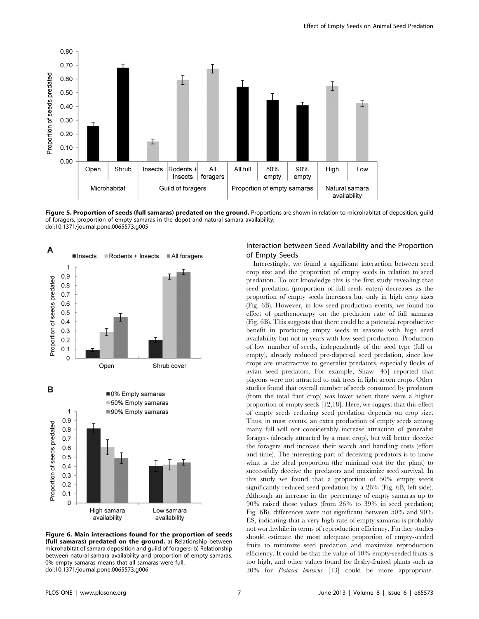

Figure 5. Proportion of seeds (full samaras) predated on the ground. Proportions are shown in relation to microhabitat of deposition, quild of foragers, proportion of empty samaras in the depot and natural samara availability. doi:10.1371/journal.pone.0065573.g005



Figure 6. Main interactions found for the proportion of seeds (full samaras) predated on the ground. a) Relationship between microhabitat of samara deposition and guild of foragers; b) Relationship between natural samara availability and proportion of empty samaras. 0% empty samaras means that all samaras were full. doi:10.1371/journal.pone.0065573.g006

# Interaction between Seed Availability and the Proportion of Empty Seeds

Interestingly, we found a significant interaction between seed crop size and the proportion of empty seeds in relation to seed predation. To our knowledge this is the first study revealing that seed predation (proportion of full seeds eaten) decreases as the proportion of empty seeds increases but only in high crop sizes (Fig. 6B). However, in low seed production events, we found no effect of parthenocarpy on the predation rate of full samaras (Fig. 6B). This suggests that there could be a potential reproductive benefit in producing empty seeds in seasons with high seed availability but not in years with low seed production. Production of low number of seeds, independently of the seed type (full or empty), already reduced pre-dispersal seed predation, since low crops are unattractive to generalist predators, especially flocks of avian seed predators. For example, Shaw [45] reported that pigeons were not attracted to oak trees in light acorn crops. Other studies found that overall number of seeds consumed by predators (from the total fruit crop) was lower when there were a higher proportion of empty seeds [12,18]. Here, we suggest that this effect of empty seeds reducing seed predation depends on crop size. Thus, in mast events, an extra production of empty seeds among many full will not considerably increase attraction of generalist foragers (already attracted by a mast crop), but will better deceive the foragers and increase their search and handling costs (effort and time). The interesting part of deceiving predators is to know what is the ideal proportion (the minimal cost for the plant) to successfully deceive the predators and maximize seed survival. In this study we found that a proportion of 50% empty seeds significantly reduced seed predation by a 26% (Fig. 6B, left side). Although an increase in the percentage of empty samaras up to 90% raised those values (from 26% to 39% in seed predation; Fig. 6B), differences were not significant between 50% and 90% ES, indicating that a very high rate of empty samaras is probably not worthwhile in terms of reproduction efficiency. Further studies should estimate the most adequate proportion of empty-seeded fruits to minimize seed predation and maximize reproduction efficiency. It could be that the value of 50% empty-seeded fruits is too high, and other values found for fleshy-fruited plants such as 30% for Pistacia lentiscus [13] could be more appropriate.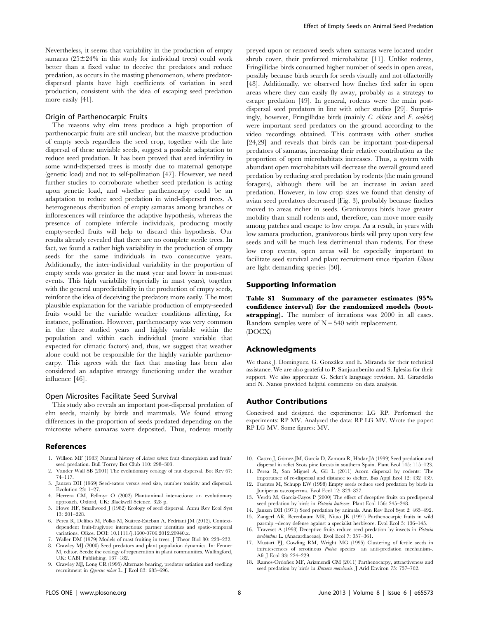Nevertheless, it seems that variability in the production of empty samaras  $(25\pm24\%$  in this study for individual trees) could work better than a fixed value to deceive the predators and reduce predation, as occurs in the masting phenomenon, where predatordispersed plants have high coefficients of variation in seed production, consistent with the idea of escaping seed predation more easily [41].

#### Origin of Parthenocarpic Fruits

The reasons why elm trees produce a high proportion of parthenocarpic fruits are still unclear, but the massive production of empty seeds regardless the seed crop, together with the late dispersal of these unviable seeds, suggest a possible adaptation to reduce seed predation. It has been proved that seed infertility in some wind-dispersed trees is mostly due to maternal genotype (genetic load) and not to self-pollination [47]. However, we need further studies to corroborate whether seed predation is acting upon genetic load, and whether parthenocarpy could be an adaptation to reduce seed predation in wind-dispersed trees. A heterogeneous distribution of empty samaras among branches or inflorescences will reinforce the adaptive hypothesis, whereas the presence of complete infertile individuals, producing mostly empty-seeded fruits will help to discard this hypothesis. Our results already revealed that there are no complete sterile trees. In fact, we found a rather high variability in the production of empty seeds for the same individuals in two consecutive years. Additionally, the inter-individual variability in the proportion of empty seeds was greater in the mast year and lower in non-mast events. This high variability (especially in mast years), together with the general unpredictability in the production of empty seeds, reinforce the idea of deceiving the predators more easily. The most plausible explanation for the variable production of empty-seeded fruits would be the variable weather conditions affecting, for instance, pollination. However, parthenocarpy was very common in the three studied years and highly variable within the population and within each individual (more variable that expected for climatic factors) and, thus, we suggest that weather alone could not be responsible for the highly variable parthenocarpy. This agrees with the fact that masting has been also considered an adaptive strategy functioning under the weather influence [46].

## Open Microsites Facilitate Seed Survival

This study also reveals an important post-dispersal predation of elm seeds, mainly by birds and mammals. We found strong differences in the proportion of seeds predated depending on the microsite where samaras were deposited. Thus, rodents mostly

#### References

- 1. Willson MF (1983) Natural history of Actaea rubra: fruit dimorphism and fruit/ seed predation. Bull Torrey Bot Club 110: 298–303.
- Vander Wall SB (2001) The evolutionary ecology of nut dispersal. Bot Rev 67: 74–117.
- 3. Janzen DH (1969) Seed-eaters versus seed size, number toxicity and dispersal. Evolution 23: 1–27.
- 4. Herrera CM, Pellmyr O (2002) Plant-animal interactions: an evolutionary approach. Oxford, UK: Blackwell Science. 328 p.
- 5. Howe HF, Smallwood J (1982) Ecology of seed dispersal. Annu Rev Ecol Syst 13: 201–228.
- 6. Perea R, Delibes M, Polko M, Sua´rez-Esteban A, Fedriani JM (2012). Contextdependent fruit-frugivore interactions: partner identities and spatio-temporal variations. Oikos. DOI: 10.1111/j.1600-0706.2012.20940.x.
- 7. Waller DM (1979) Models of mast fruiting in trees. J Theor Biol 80: 223–232.
- 8. Crawley MJ (2000) Seed predators and plant population dynamics. In: Fenner M, editor. Seeds: the ecology of regeneration in plant communities. Wallingford, UK: CABI Publishing. 167–182.

preyed upon or removed seeds when samaras were located under shrub cover, their preferred microhabitat [11]. Unlike rodents, Fringillidae birds consumed higher number of seeds in open areas, possibly because birds search for seeds visually and not olfactorilly [48]. Additionally, we observed how finches feel safer in open areas where they can easily fly away, probably as a strategy to escape predation [49]. In general, rodents were the main postdispersal seed predators in line with other studies [29]. Surprisingly, however, Fringillidae birds (mainly C. chloris and F. coelebs) were important seed predators on the ground according to the video recordings obtained. This contrasts with other studies [24,29] and reveals that birds can be important post-dispersal predators of samaras, increasing their relative contribution as the proportion of open microhabitats increases. Thus, a system with abundant open microhabitats will decrease the overall ground seed predation by reducing seed predation by rodents (the main ground foragers), although there will be an increase in avian seed predation. However, in low crop sizes we found that density of avian seed predators decreased (Fig. 3), probably because finches moved to areas richer in seeds. Granivorous birds have greater mobility than small rodents and, therefore, can move more easily among patches and escape to low crops. As a result, in years with low samara production, granivorous birds will prey upon very few seeds and will be much less detrimental than rodents. For these low crop events, open areas will be especially important to facilitate seed survival and plant recruitment since riparian Ulmus are light demanding species [50].

## Supporting Information

Table S1 Summary of the parameter estimates (95% confidence interval) for the randomized models (bootstrapping). The number of iterations was 2000 in all cases. Random samples were of  $N = 540$  with replacement. (DOCX)

## Acknowledgments

We thank J. Domínguez, G. González and E. Miranda for their technical assistance. We are also grateful to P. Sanjuanbenito and S. Iglesias for their support. We also appreciate G. Seket's language revision. M. Girardello and N. Nanos provided helpful comments on data analysis.

## Author Contributions

Conceived and designed the experiments: LG RP. Performed the experiments: RP MV. Analyzed the data: RP LG MV. Wrote the paper: RP LG MV. Some figures: MV.

- 10. Castro J, Gómez JM, García D, Zamora R, Hódar JA (1999) Seed predation and dispersal in relict Scots pine forests in southern Spain. Plant Ecol 145: 115–123.
- 11. Perea R, San Miguel A, Gil L (2011) Acorn dispersal by rodents: The importance of re-dispersal and distance to shelter. Bas Appl Ecol 12: 432–439.
- 12. Fuentes M, Schupp EW (1998) Empty seeds reduce seed predation by birds in Juniperus osteosperma. Evol Ecol 12: 823–827.
- 13. Verdú M, García-Fayos P (2000) The effect of deceptive fruits on predispersal seed predation by birds in Pistacia lentiscus. Plant Ecol 156: 245–248.
- 14. Janzen DH (1971) Seed predation by animals. Ann Rev Ecol Syst 2: 465–492. 15. Zangerl AR, Berenbaum MR, Nitao JK (1991) Parthenocarpic fruits in wild
- parsnip –decoy defense against a specialist herbivore. Evol Ecol 5: 136–145. 16. Traveset A (1993) Deceptive fruits reduce seed predation by insects in Pistacia
- terebinthus L. (Anacardiaceae). Evol Ecol 7: 357–361.
- 17. Mustart PJ, Cowling RM, Wright MG (1995) Clustering of fertile seeds in infrutescences of serotinous Protea species –an anti-predation mechanism-. Afr J Ecol 33: 224–229.
- 18. Ramos-Ordoñez MF, Arizmendi CM (2011) Parthenocarpy, attractiveness and seed predation by birds in *Bursera morelensis*. J Arid Environ 75: 757-762.